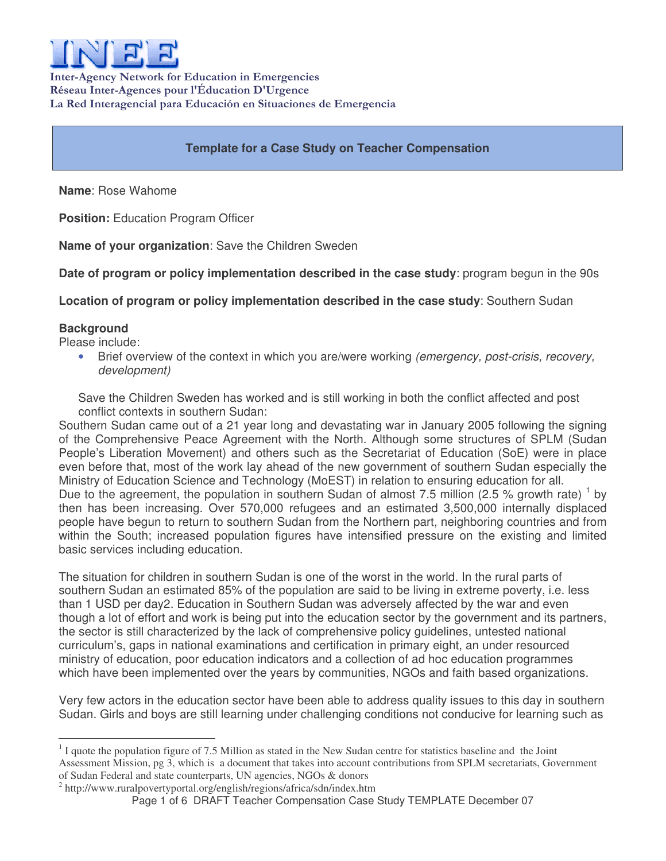

Inter-Agency Network for Education in Emergencies Réseau Inter-Agences pour l'Éducation D'Urgence La Red Interagencial para Educación en Situaciones de Emergencia

# **Template for a Case Study on Teacher Compensation**

**Name**: Rose Wahome

**Position:** Education Program Officer

**Name of your organization**: Save the Children Sweden

**Date of program or policy implementation described in the case study**: program begun in the 90s

**Location of program or policy implementation described in the case study**: Southern Sudan

## **Background**

Please include:

• Brief overview of the context in which you are/were working *(emergency, post-crisis, recovery, development)*

Save the Children Sweden has worked and is still working in both the conflict affected and post conflict contexts in southern Sudan:

Southern Sudan came out of a 21 year long and devastating war in January 2005 following the signing of the Comprehensive Peace Agreement with the North. Although some structures of SPLM (Sudan People's Liberation Movement) and others such as the Secretariat of Education (SoE) were in place even before that, most of the work lay ahead of the new government of southern Sudan especially the Ministry of Education Science and Technology (MoEST) in relation to ensuring education for all. Due to the agreement, the population in southern Sudan of almost 7.5 million (2.5 % growth rate) <sup>1</sup> by then has been increasing. Over 570,000 refugees and an estimated 3,500,000 internally displaced people have begun to return to southern Sudan from the Northern part, neighboring countries and from within the South; increased population figures have intensified pressure on the existing and limited basic services including education.

The situation for children in southern Sudan is one of the worst in the world. In the rural parts of southern Sudan an estimated 85% of the population are said to be living in extreme poverty, i.e. less than 1 USD per day2. Education in Southern Sudan was adversely affected by the war and even though a lot of effort and work is being put into the education sector by the government and its partners, the sector is still characterized by the lack of comprehensive policy guidelines, untested national curriculum's, gaps in national examinations and certification in primary eight, an under resourced ministry of education, poor education indicators and a collection of ad hoc education programmes which have been implemented over the years by communities, NGOs and faith based organizations.

Very few actors in the education sector have been able to address quality issues to this day in southern Sudan. Girls and boys are still learning under challenging conditions not conducive for learning such as

<sup>&</sup>lt;sup>1</sup> I quote the population figure of 7.5 Million as stated in the New Sudan centre for statistics baseline and the Joint Assessment Mission, pg 3, which is a document that takes into account contributions from SPLM secretariats, Government of Sudan Federal and state counterparts, UN agencies, NGOs & donors

<sup>&</sup>lt;sup>2</sup> http://www.ruralpovertyportal.org/english/regions/africa/sdn/index.htm

Page 1 of 6 DRAFT Teacher Compensation Case Study TEMPLATE December 07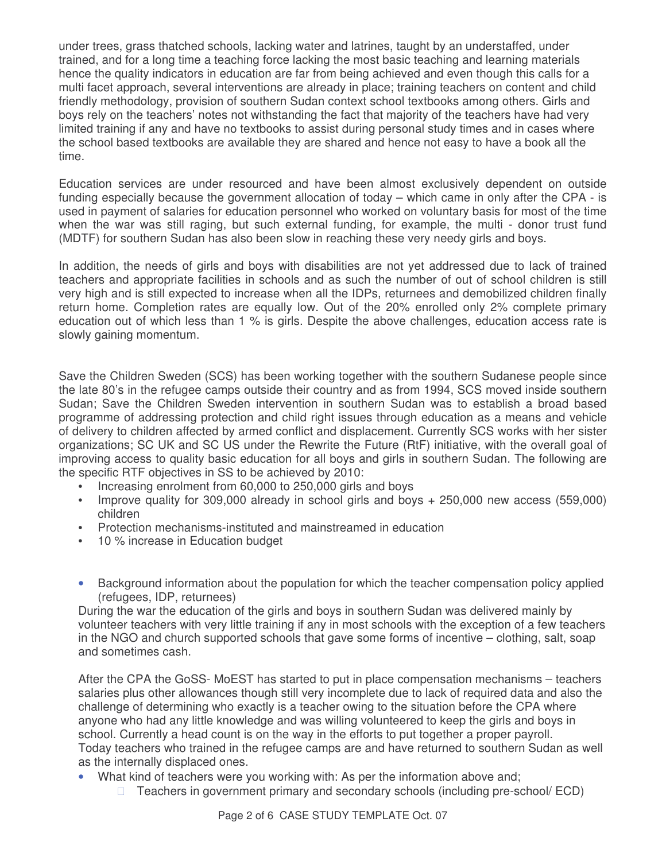under trees, grass thatched schools, lacking water and latrines, taught by an understaffed, under trained, and for a long time a teaching force lacking the most basic teaching and learning materials hence the quality indicators in education are far from being achieved and even though this calls for a multi facet approach, several interventions are already in place; training teachers on content and child friendly methodology, provision of southern Sudan context school textbooks among others. Girls and boys rely on the teachers' notes not withstanding the fact that majority of the teachers have had very limited training if any and have no textbooks to assist during personal study times and in cases where the school based textbooks are available they are shared and hence not easy to have a book all the time.

Education services are under resourced and have been almost exclusively dependent on outside funding especially because the government allocation of today – which came in only after the CPA - is used in payment of salaries for education personnel who worked on voluntary basis for most of the time when the war was still raging, but such external funding, for example, the multi - donor trust fund (MDTF) for southern Sudan has also been slow in reaching these very needy girls and boys.

In addition, the needs of girls and boys with disabilities are not yet addressed due to lack of trained teachers and appropriate facilities in schools and as such the number of out of school children is still very high and is still expected to increase when all the IDPs, returnees and demobilized children finally return home. Completion rates are equally low. Out of the 20% enrolled only 2% complete primary education out of which less than 1 % is girls. Despite the above challenges, education access rate is slowly gaining momentum.

Save the Children Sweden (SCS) has been working together with the southern Sudanese people since the late 80's in the refugee camps outside their country and as from 1994, SCS moved inside southern Sudan; Save the Children Sweden intervention in southern Sudan was to establish a broad based programme of addressing protection and child right issues through education as a means and vehicle of delivery to children affected by armed conflict and displacement. Currently SCS works with her sister organizations; SC UK and SC US under the Rewrite the Future (RtF) initiative, with the overall goal of improving access to quality basic education for all boys and girls in southern Sudan. The following are the specific RTF objectives in SS to be achieved by 2010:

- Increasing enrolment from 60,000 to 250,000 girls and boys
- Improve quality for 309,000 already in school girls and boys + 250,000 new access (559,000) children
- Protection mechanisms-instituted and mainstreamed in education
- 10 % increase in Education budget
- Background information about the population for which the teacher compensation policy applied (refugees, IDP, returnees)

During the war the education of the girls and boys in southern Sudan was delivered mainly by volunteer teachers with very little training if any in most schools with the exception of a few teachers in the NGO and church supported schools that gave some forms of incentive – clothing, salt, soap and sometimes cash.

After the CPA the GoSS- MoEST has started to put in place compensation mechanisms – teachers salaries plus other allowances though still very incomplete due to lack of required data and also the challenge of determining who exactly is a teacher owing to the situation before the CPA where anyone who had any little knowledge and was willing volunteered to keep the girls and boys in school. Currently a head count is on the way in the efforts to put together a proper payroll. Today teachers who trained in the refugee camps are and have returned to southern Sudan as well as the internally displaced ones.

• What kind of teachers were you working with: As per the information above and; Teachers in government primary and secondary schools (including pre-school/ ECD)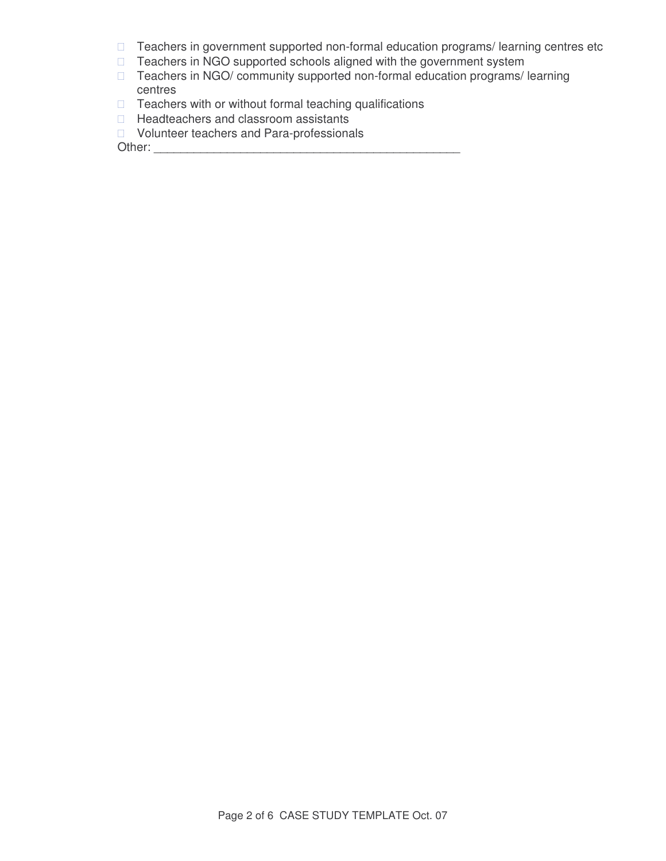Teachers in government supported non-formal education programs/ learning centres etc Teachers in NGO supported schools aligned with the government system Teachers in NGO/ community supported non-formal education programs/ learning centres Teachers with or without formal teaching qualifications

Headteachers and classroom assistants

Volunteer teachers and Para-professionals

Other: \_\_\_\_\_\_\_\_\_\_\_\_\_\_\_\_\_\_\_\_\_\_\_\_\_\_\_\_\_\_\_\_\_\_\_\_\_\_\_\_\_\_\_\_\_\_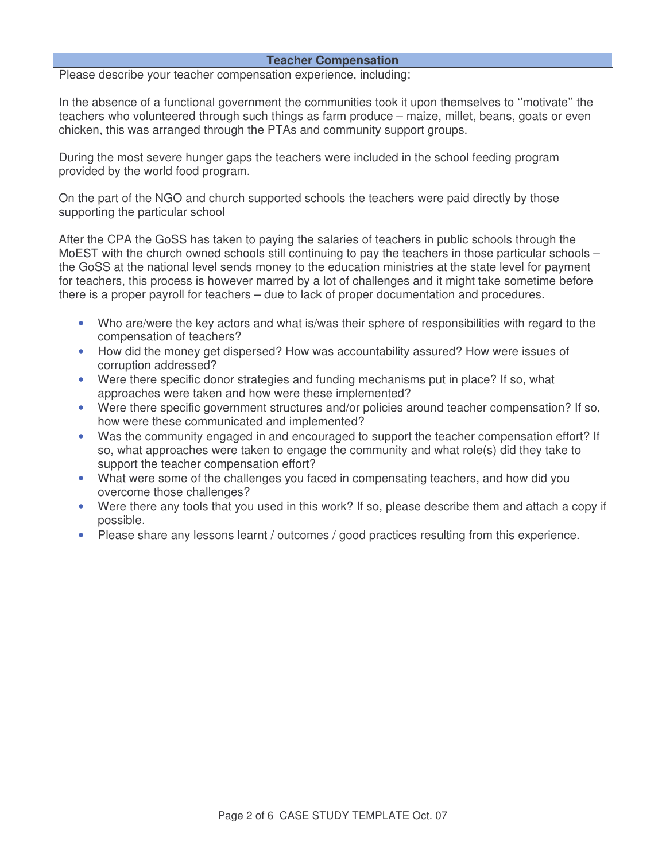### **Teacher Compensation**

Please describe your teacher compensation experience, including:

In the absence of a functional government the communities took it upon themselves to "motivate" the teachers who volunteered through such things as farm produce – maize, millet, beans, goats or even chicken, this was arranged through the PTAs and community support groups.

During the most severe hunger gaps the teachers were included in the school feeding program provided by the world food program.

On the part of the NGO and church supported schools the teachers were paid directly by those supporting the particular school

After the CPA the GoSS has taken to paying the salaries of teachers in public schools through the MoEST with the church owned schools still continuing to pay the teachers in those particular schools – the GoSS at the national level sends money to the education ministries at the state level for payment for teachers, this process is however marred by a lot of challenges and it might take sometime before there is a proper payroll for teachers – due to lack of proper documentation and procedures.

- Who are/were the key actors and what is/was their sphere of responsibilities with regard to the compensation of teachers?
- How did the money get dispersed? How was accountability assured? How were issues of corruption addressed?
- Were there specific donor strategies and funding mechanisms put in place? If so, what approaches were taken and how were these implemented?
- Were there specific government structures and/or policies around teacher compensation? If so, how were these communicated and implemented?
- Was the community engaged in and encouraged to support the teacher compensation effort? If so, what approaches were taken to engage the community and what role(s) did they take to support the teacher compensation effort?
- What were some of the challenges you faced in compensating teachers, and how did you overcome those challenges?
- Were there any tools that you used in this work? If so, please describe them and attach a copy if possible.
- Please share any lessons learnt / outcomes / good practices resulting from this experience.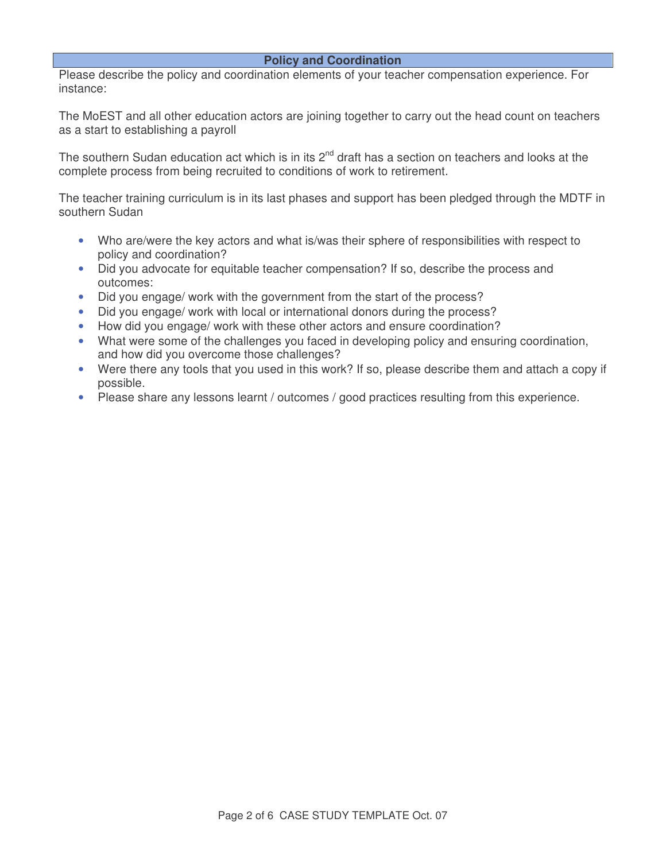#### **Policy and Coordination**

Please describe the policy and coordination elements of your teacher compensation experience. For instance:

The MoEST and all other education actors are joining together to carry out the head count on teachers as a start to establishing a payroll

The southern Sudan education act which is in its 2<sup>nd</sup> draft has a section on teachers and looks at the complete process from being recruited to conditions of work to retirement.

The teacher training curriculum is in its last phases and support has been pledged through the MDTF in southern Sudan

- Who are/were the key actors and what is/was their sphere of responsibilities with respect to policy and coordination?
- Did you advocate for equitable teacher compensation? If so, describe the process and outcomes:
- Did you engage/ work with the government from the start of the process?
- Did you engage/ work with local or international donors during the process?
- How did you engage/ work with these other actors and ensure coordination?
- What were some of the challenges you faced in developing policy and ensuring coordination, and how did you overcome those challenges?
- Were there any tools that you used in this work? If so, please describe them and attach a copy if possible.
- Please share any lessons learnt / outcomes / good practices resulting from this experience.